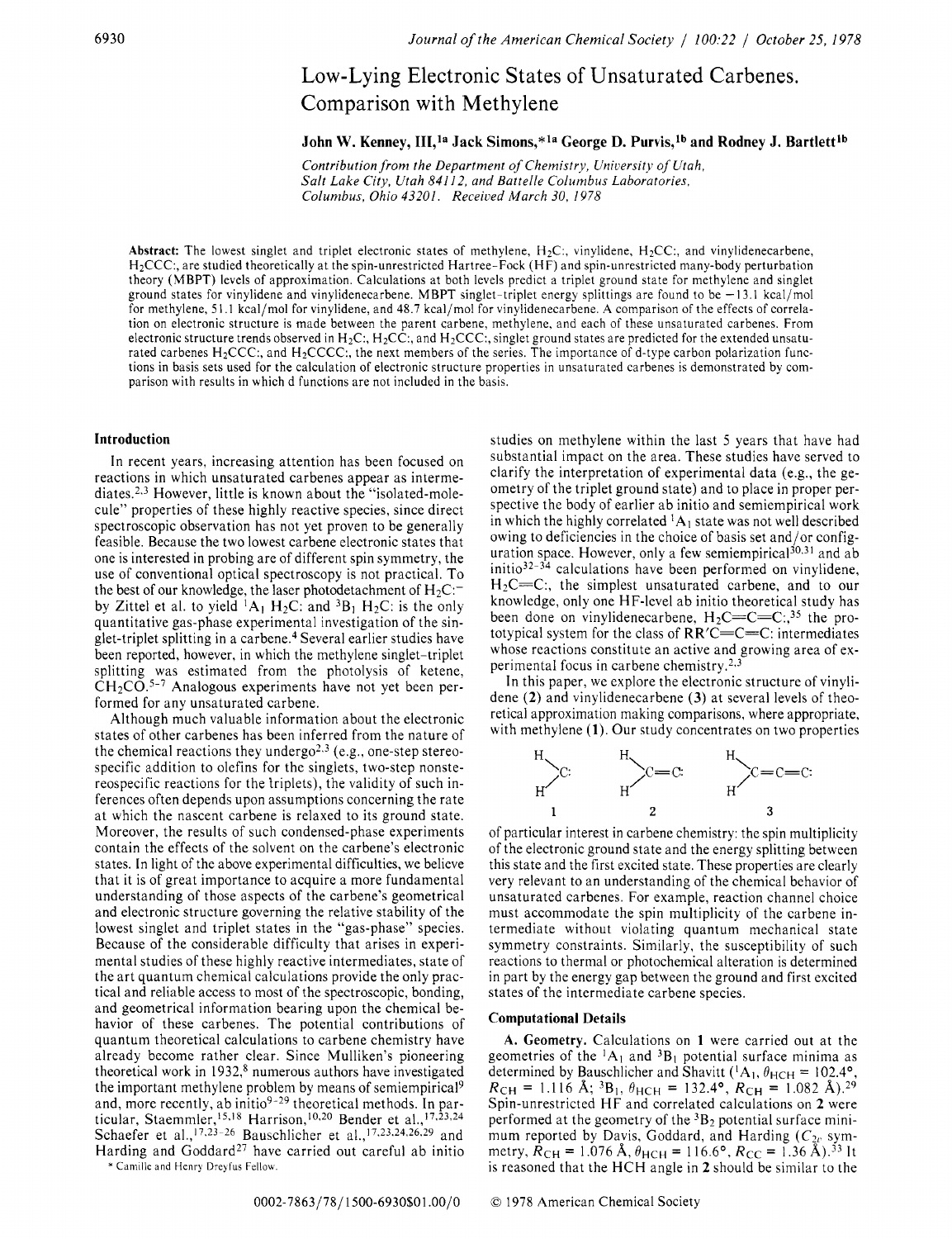## Low-Lying Electronic States of Unsaturated Carbenes. Comparison with Methylene

## John W. Kenney, III,<sup>1a</sup> Jack Simons,\*<sup>1a</sup> George D. Purvis,<sup>1b</sup> and Rodney J. Bartlett<sup>1b</sup>

*Contribution from the Department of Chemistry, Uniuersity of Utah, Salt Lake City, Utah 841 12, and Battelle Columbus Laboratories, Columbus, Ohio 43201. Received March 30, I978* 

Abstract: The lowest singlet and triplet electronic states of methylene,  $H_2C$ :, vinylidene,  $H_2CC$ :, and vinylidenecarbene, HzCCC:, are studied theoretically at the spin-unrestricted Hartree-Fock **(H** F) and spin-unrestricted many-body perturbation theory (MBPT) levels of approximation. Calculations at both levels predict a triplet ground state for methylene and singlet ground states for vinylidene and vinylidenecarbene. MBPT singlet-triplet energy splittings are found to be - 13.1 kcal/mol for methylene, 51 .I kcal/mol for vinylidene, and 48.7 kcal/mol for vinylidenecarbene. **A** comparison of the effects of correlation on electronic structure is made between the parent carbene, methylene, and each of these unsaturated carbenes. From electronic structure trends observed in H<sub>2</sub>C:, H<sub>2</sub>CC:, and H<sub>2</sub>CCC:, singlet ground states are predicted for the extended unsaturated carbenes H<sub>2</sub>CCC:, and H<sub>2</sub>CCCC:, the next members of the series. The importance of d-type carbon polarization functions in basis sets used for the calculation of electronic structure properties in unsaturated carbenes is demonstrated by comparison with results in which d functions are not included in the basis.

## **Introduction**

In recent years, increasing attention has been focused on reactions in which unsaturated carbenes appear as intermediates.<sup>2,3</sup> However, little is known about the "isolated-molecule" properties of these highly reactive species, since direct spectroscopic observation has not yet proven to be generally feasible. Because the two lowest carbene electronic states that one is interested in probing are of different spin symmetry, the use of conventional optical spectroscopy is not practical. To the best of our knowledge, the laser photodetachment of  $H_2C$ : by Zittel et al. to yield  ${}^{1}A_1 H_2C$ : and  ${}^{3}B_1 H_2C$ : is the only quantitative gas-phase experimental investigation of the singlet-triplet splitting in a carbene.<sup>4</sup> Several earlier studies have been reported, however, in which the methylene singlet-triplet splitting was estimated from the photolysis of ketene,  $CH<sub>2</sub>CO<sup>5-7</sup>$  Analogous experiments have not yet been performed for any unsaturated carbene.

Although much valuable information about the electronic states of other carbenes has been inferred from the nature of the chemical reactions they undergo<sup>2,3</sup> (e.g., one-step stereospecific addition to olefins for the singlets, two-step nonstereospecific reactions for the triplets), the validity of such inferences often depends upon assumptions concerning the rate at which the nascent carbene is relaxed to its ground state. Moreover, the results of such condensed-phase experiments contain the effects of the solvent on the carbene's electronic states. In light of the above experimental difficulties, we believe that it is of great importance to acquire a more fundamental understanding of those aspects of the carbene's geometrical and electronic structure governing the relative stability of the lowest singlet and triplet states in the "gas-phase" species. Because of the considerable difficulty that arises in experimental studies of these highly reactive intermediates, state of the art quantum chemical calculations provide the only practical and reliable access to most of the spectroscopic, bonding, and geometrical information bearing upon the chemical behavior of these carbenes. The potential contributions of quantum theoretical calculations to carbene chemistry have already become rather clear. Since Mulliken's pioneering theoretical work in 1932,<sup>8</sup> numerous authors have investigated the important methylene problem by means of semiempirical<sup>9</sup> and, more recently, ab initio<sup>9-29</sup> theoretical methods. In particular, Staemmler,<sup>15,18</sup> Harrison,<sup>10,20</sup> Bender et al.,<sup>17,23,24</sup> Schaefer et al.,<sup>17,23-26</sup> Bauschlicher et al.,<sup>17,23,24,26,29</sup> and Harding and  $G$ oddard<sup>27</sup> have carried out careful ab initio

\* Camille and Henry Dreyfus Fellow.

studies on methylene within the last 5 years that have had substantial impact on the area. These studies have served to clarify the interpretation of experimental data (e.g., the geometry of the triplet ground state) and to place in proper perspective the body of earlier ab initio and semiempirical work in which the highly correlated  ${}^{1}A_1$  state was not well described owing to deficiencies in the choice of basis set and/or configuration space. However, only a few semiempirical<sup>30,31</sup> and ab initio32-34 calculations have been performed on vinylidene, H<sub>2</sub>C=C:, the simplest unsaturated carbene, and to our knowledge, only one HF-level ab initio theoretical study has been done on vinylidenecarbene,  $H_2C=C=C$ :,<sup>35</sup> the prototypical system for the class of RR'C=C=C: intermediates whose reactions constitute an active and growing area of experimental focus in carbene chemistry. $2.3$ 

In this paper, we explore the electronic structure of vinylidene **(2)** and vinylidenecarbene **(3)** at several levels of theoretical approximation making comparisons, where appropriate, with methylene **(1)**. Our study concentrates on two properties



of particular interest in carbene chemistry: the spin multiplicity of the electronic ground state and the energy splitting between this state and the first excited state. These properties are clearly very relevant to an understanding of the chemical behavior of unsaturated carbenes. For example, reaction channel choice must accommodate the spin multiplicity of the carbene intermediate without violating quantum mechanical state symmetry constraints. Similarly, the susceptibility of such reactions to thermal or photochemical alteration is determined in part by the energy gap between the ground and first excited states of the intermediate carbene species.

#### **Computational Details**

**A. Geometry.** Calculations on **1** were carried out at the geometries of the  ${}^{1}A_{1}$  and  ${}^{3}B_{1}$  potential surface minima as determined by Bauschlicher and Shavitt ( ${}^{1}A_{1}$ ,  $\theta_{HCH} = 102.4^{\circ}$ ,  $R_{CH} = 1.116$  Å; <sup>3</sup>B<sub>1</sub>,  $\theta_{HCH} = 132.4$ °,  $R_{CH} = 1.082$  Å), <sup>29</sup> Spin-unrestricted HF and correlated calculations on **2** were performed at the geometry of the  ${}^{3}B_{2}$  potential surface minimum reported by Davis, Goddard, and Harding *(C<sub>2v</sub>* symmetry,  $\dot{R}_{\text{CH}} = 1.076 \text{ Å}, \theta_{\text{HCH}} = 116.6^{\circ}, R_{\text{CC}} = 1.36 \text{ Å}.^{33}$  It is reasoned that the HCH angle in **2** should be similar to the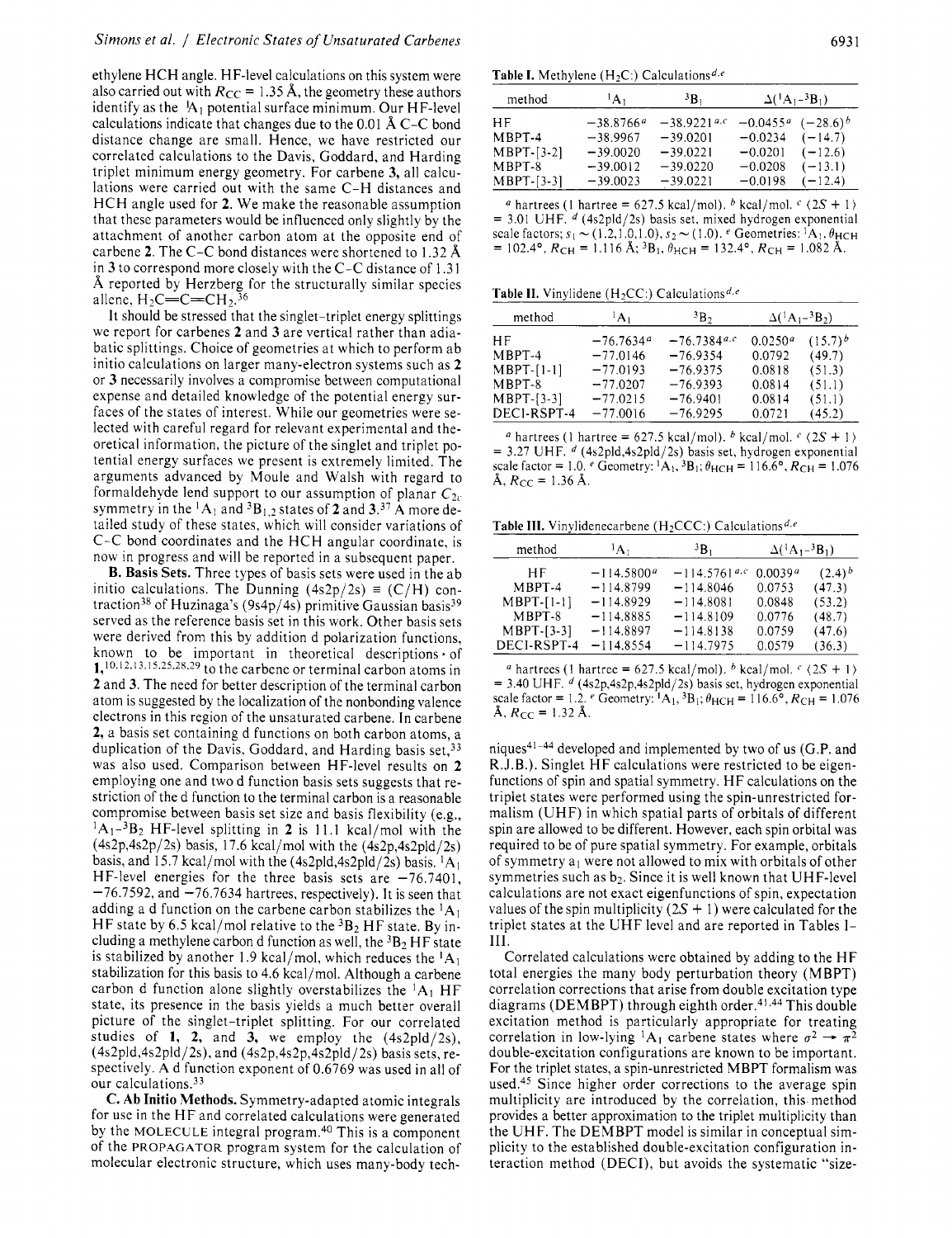## *Simons et al.* / *Electronic States of Unsaturated Carbenes* 693 <sup>1</sup>

ethylene HCH angle. HF-level calculations on this system were also carried out with  $R_{CC} = 1.35$  Å, the geometry these authors identify as the  $A_1$  potential surface minimum. Our HF-level calculations indicate that changes due to the 0.01 A C-C bond distance change are small. Hence, we have restricted our correlated calculations to the Davis, Goddard, and Harding triplet minimum energy geometry. For carbene **3,** all calculations were carried out with the same C-H distances and HCH angle used for **2.** We make the reasonable assumption that these parameters would be influenced only slightly by the attachment of another carbon atom at the opposite end of carbene **2.** The C-C bond distances were shortened to 1.32 **8,**  in **3** to correspond more closely with the C-C distance of 1.3 <sup>1</sup> A reported by Herzberg for the structurally similar species allene,  $H_2C=C=CH_2^{36}$ 

It should be stressed that the singlet-triplet energy splittings we report for carbenes **2** and **3** are vertical rather than adiabatic splittings. Choice of geometries at which to perform ab initio calculations on larger many-electron systems such as **2**  or **3** necessarily involves a compromise between computational expense and detailed knowledge of the potential energy surfaces of the states of interest. While our geometries were selected with careful regard for relevant experimental and theoretical information, the picture of the singlet and triplet potential energy surfaces we present is extremely limited. The arguments advanced by Moule and Walsh with regard to formaldehyde lend support to our assumption of planar  $C_{2v}$ symmetry in the  ${}^{1}A_1$  and  ${}^{3}B_{1,2}$  states of 2 and 3.<sup>37</sup> A more detailed study of these states, which will consider variations of C-C bond coordinates and the HCH angular coordinate, is now in progress and will be reported in a subsequent paper.

**B. Basis Sets.** Three types of basis sets were used in the ab initio calculations. The Dunning  $(4s2p/2s) \equiv (C/H)$  contraction<sup>38</sup> of Huzinaga's (9s4p/4s) primitive Gaussian basis<sup>39</sup> served as the reference basis set in this work. Other basis sets were derived from this by addition d polarization functions, known to be important in theoretical descriptions of 1,10.12,13,15,25.28,29 to the carbene or terminal carbon atoms in **2** and **3.** The need for better description of the terminal carbon atom is suggested by the localization of the nonbonding valence electrons in this region of the unsaturated carbene. In carbene **2,** a basis set containing d functions on both carbon atoms, a duplication of the Davis, Goddard, and Harding basis set,<sup>33</sup> was also used. Comparison between HF-level results on **2**  employing one and two d function basis sets suggests that restriction of the d function to the terminal carbon is a reasonable compromise between basis set size and basis flexibility (e.g., 1A1-3B2 HF-level splitting in **2** is 11.1 kcal/mol with the  $(4s2p,4s2p/2s)$  basis, 17.6 kcal/mol with the  $(4s2p,4s2pld/2s)$ basis, and 15.7 kcal/mol with the (4s2pld,4s2pld/2s) basis.  ${}^{1}A_1$ HF-level energies for the three basis sets are  $-76.7401$ ,  $-76.7592$ , and  $-76.7634$  hartrees, respectively). It is seen that adding a d function on the carbene carbon stabilizes the  ${}^{1}A_1$ HF state by 6.5 kcal/mol relative to the  ${}^{3}B_{2}$  HF state. By including a methylene carbon d function as well, the  ${}^{3}B_{2}$  HF state is stabilized by another 1.9 kcal/mol, which reduces the  ${}^{1}A_1$ stabilization for this basis to 4.6 kcal/mol. Although a carbene carbon d function alone slightly overstabilizes the  ${}^{1}A_1$  HF state, its presence in the basis yields a much better overall picture of the singlet-triplet splitting. For our correlated studies of  $1$ ,  $2$ , and  $3$ , we employ the  $(4s2pld/2s)$ ,  $(4s2pld,4s2pld/2s)$ , and  $(4s2p,4s2p,4s2pld/2s)$  basis sets, respectively. A d function exponent of 0.6769 was used in all of our calculations. $33$ 

**C. Ab Initio Methods.** Symmetry-adapted atomic integrals for use in the HF and correlated calculations were generated by the MOLECULE integral program.<sup>40</sup> This is a component of the PROPAGATOR program system for the calculation of molecular electronic structure, which uses many-body tech-

**Table I.** Methylene  $(H<sub>2</sub>C<sub>1</sub>)$  Calculations<sup>d,e</sup>

| method       | $A_1$       | <sup>3</sup> B <sub>1</sub> |            | $\Delta({}^{1}A_{1}-{}^{3}B_{1})$ |
|--------------|-------------|-----------------------------|------------|-----------------------------------|
| НF           | $-38.8766a$ | $-38.9221$ <sup>a,c</sup>   | $-0.0455a$ | $(-28.6)^{b}$                     |
| MBPT-4       | $-38.9967$  | $-39.0201$                  | $-0.0234$  | $(-14.7)$                         |
| $MBPT-[3-2]$ | $-39.0020$  | $-39.0221$                  | $-0.0201$  | $(-12.6)$                         |
| MBPT-8       | $-39.0012$  | $-39.0220$                  | $-0.0208$  | $(-13.1)$                         |
| $MBPT-[3-3]$ | $-39,0023$  | $-39.0221$                  | $-0.0198$  | $(-12.4)$                         |
|              |             |                             |            |                                   |

<sup>*a*</sup> hartrees (1 hartree = 627.5 kcal/mol). <sup>*b*</sup> kcal/mol. <sup>*c*</sup>  $\langle 2S + 1 \rangle$  $= 3.01$  UHF. <sup>d</sup> (4s2pld/2s) basis set, mixed hydrogen exponential scale factors;  $s_1 \sim (1.2,1.0,1.0), s_2 \sim (1.0).$  Geometries:  ${}^{1}A_1, \theta_{\text{HCH}}$  $= 102.4^{\circ}$ ,  $R_{CH} = 1.116$  Å; <sup>3</sup>B<sub>1</sub>,  $\theta_{HCH} = 132.4^{\circ}$ ,  $R_{CH} = 1.082$  Å.

**Table II.** Vinvlidene  $(H<sub>2</sub>CC)$ : Calculations<sup>d,e</sup>

| method       | ìΑı         | <sup>3</sup> B <sub>2</sub> | $\Delta({}^1A_1-{}^3B_2)$ |              |
|--------------|-------------|-----------------------------|---------------------------|--------------|
| НF           | $-76.7634a$ | $-76.7384$ <sup>a,c</sup>   | 0.0250 <sup>a</sup>       | $(15.7)^{b}$ |
| MBPT-4       | $-77.0146$  | $-76.9354$                  | 0.0792                    | (49.7)       |
| MBPT-[1-1]   | $-77.0193$  | $-76.9375$                  | 0.0818                    | (51.3)       |
| $MBPT-8$     | $-77.0207$  | $-76.9393$                  | 0.0814                    | (51.1)       |
| $MBPT-[3-3]$ | $-77.0215$  | $-76.9401$                  | 0.0814                    | (51.1)       |
| DECI-RSPT-4  | $-77.0016$  | $-76.9295$                  | 0.0721                    | (45.2)       |

*a* hartrees (1 hartree = 627.5 kcal/mol). *b* kcal/mol.  $\frac{c}{2S + 1}$  $= 3.27$  UHF. <sup>d</sup> (4s2pld,4s2pld/2s) basis set, hydrogen exponential scale factor = 1.0. *e* Geometry: <sup>1</sup>A<sub>1</sub>, <sup>3</sup>B<sub>1</sub>;  $\theta_{\text{HCH}}$  = 116.6°,  $R_{\text{CH}}$  = 1.076  $\AA$ ,  $R_{CC} = 1.36 \AA$ .

**Table III.** Vinylidenecarbene (H<sub>2</sub>CCC:) Calculations<sup>d,e</sup>

| method       | $^1A_1$      | 3В.                        | $\Delta({}^{1}A_{1}-{}^{3}B_{1})$ |             |
|--------------|--------------|----------------------------|-----------------------------------|-------------|
| ΗF           | $-114.5800a$ | $-114.5761$ <sup>a.c</sup> | 0.0039a                           | $(2.4)^{b}$ |
| MBPT-4       | $-114.8799$  | $-114.8046$                | 0.0753                            | (47.3)      |
| $MBPT-[1-1]$ | $-114.8929$  | $-114.8081$                | 0.0848                            | (53.2)      |
| MBPT-8       | $-114.8885$  | $-114.8109$                | 0.0776                            | (48.7)      |
| $MBPT-[3-3]$ | $-114.8897$  | $-114.8138$                | 0.0759                            | (47.6)      |
| DECI-RSPT-4  | $-114.8554$  | $-114.7975$                | 0.0579                            | (36.3)      |

*a* hartrees (1 hartree = 627.5 kcal/mol). *b* kcal/mol.  $\frac{c}{2S + 1}$  $= 3.40$  UHF. <sup>d</sup> (4s2p,4s2p,4s2pld/2s) basis set, hydrogen exponential scale factor = 1.2.  $e$  Geometry:  ${}^{1}A_{1}$ ,  ${}^{3}B_{1}$ ;  $\theta_{HCH}$  = 116.6°,  $R_{CH}$  = 1.076  $\AA$ ,  $R_{CC} = 1.32 \text{ Å}$ .

niques<sup>41-44</sup> developed and implemented by two of us (G.P. and R.J.B.). Singlet HF calculations were restricted to be eigenfunctions of spin and spatial symmetry. HF calculations on the triplet states were performed using the spin-unrestricted formalism (UHF) in which spatial parts of orbitals of different spin are allowed to be different. However, each spin orbital was required to be of pure spatial symmetry. For example, orbitals of symmetry  $a_1$  were not allowed to mix with orbitals of other symmetries such as  $b_2$ . Since it is well known that UHF-level calculations are not exact eigenfunctions of spin, expectation values of the spin multiplicity  $(2S + 1)$  were calculated for the triplet states at the UHF level and are reported in Tables I-111.

Correlated calculations were obtained by adding to the HF total energies the many body perturbation theory (MBPT) correlation corrections that arise from double excitation type diagrams (DEMBPT) through eighth order.<sup>41,44</sup> This double excitation method is particularly appropriate for treating diagrams (DEMBPT) through eighth order.<sup>41,44</sup> This double<br>excitation method is particularly appropriate for treating<br>correlation in low-lying <sup>1</sup>A<sub>1</sub> carbene states where  $\sigma^2 \rightarrow \pi^2$ double-excitation configurations are known to be important. For the triplet states, a spin-unrestricted MBPT formalism was used.<sup>45</sup> Since higher order corrections to the average spin multiplicity are introduced by the correlation, this method provides a better approximation to the triplet multiplicity than the UHF. The DEMBPT model is similar in conceptual simplicity to the established double-excitation configuration interaction method (DECI), but avoids the systematic "size-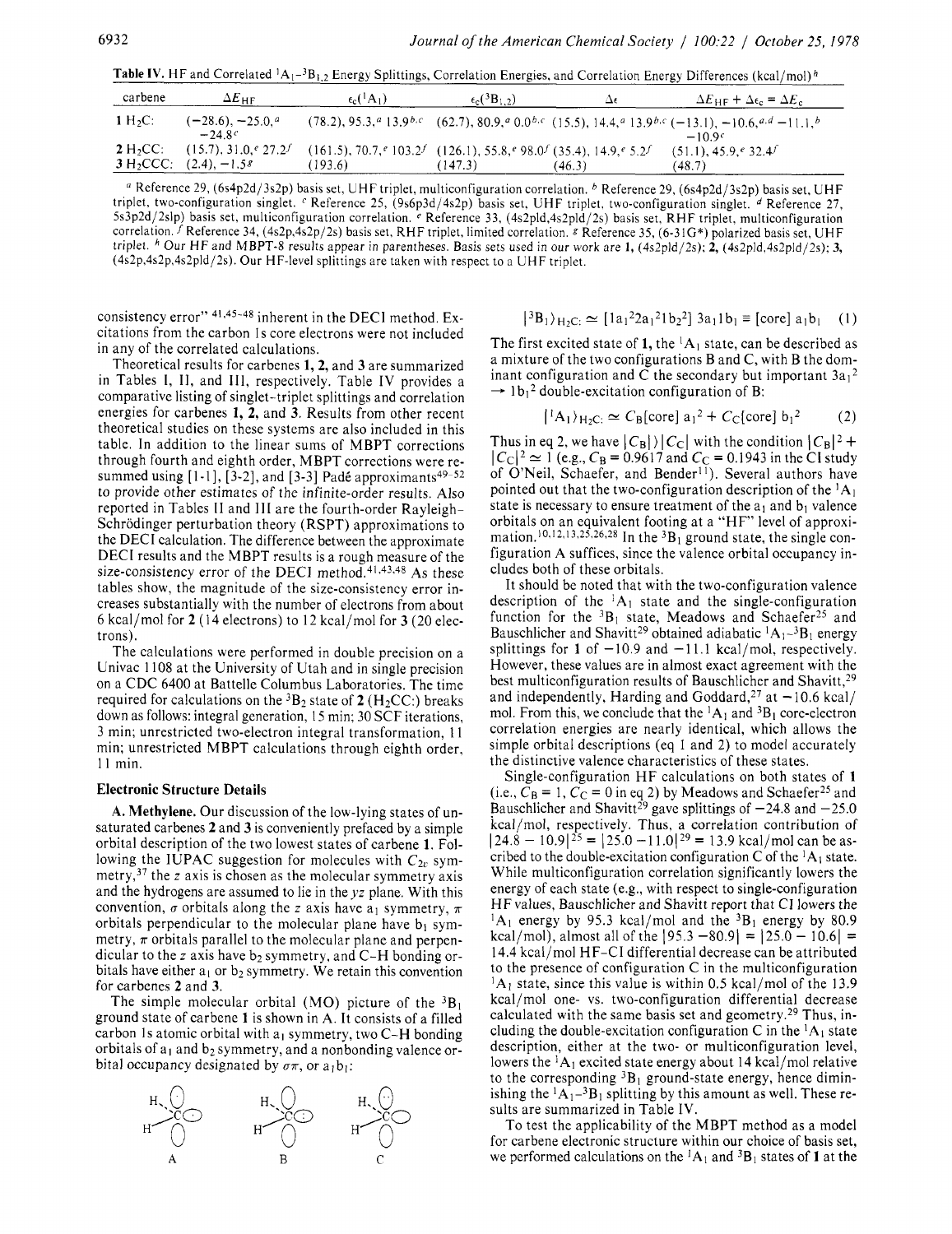Table IV. HF and Correlated <sup>1</sup>A<sub>1</sub>-<sup>3</sup>B<sub>1.2</sub> Energy Splittings, Correlation Energies, and Correlation Energy Differences (kcal/mol)<sup>h</sup>

| carbene                             | $\Delta E_{\rm HF}$                        | $\epsilon_c({}^1A_1)$                                                                         | $\epsilon_c({}^3B_{1,2})$ | Δ€     | $\Delta E_{\text{HF}} + \Delta \epsilon_{\text{c}} = \Delta E_{\text{c}}$                                              |
|-------------------------------------|--------------------------------------------|-----------------------------------------------------------------------------------------------|---------------------------|--------|------------------------------------------------------------------------------------------------------------------------|
| $1 H2C$ :                           | $(-28.6), -25.0, a$<br>$-24.8c$            |                                                                                               |                           |        | $(78.2), 95.3, a 13.9b,c$ $(62.7), 80.9, a 0.0b,c$ $(15.5), 14.4, a 13.9b,c$ $(-13.1), -10.6, a.d-11.1, b$<br>$-10.9c$ |
| $2 H2CC$ :<br>3 H <sub>2</sub> CCC: | $(15.7), 31.0,$ $(27.2)$<br>$(2.4), -1.58$ | $(161.5), 70.7,$ $(103.2^{f}$ $(126.1), 55.8,$ $(98.0^{f} (35.4), 14.9,$ $(5.2^{f}$<br>193.6) | (147.3)                   | (46.3) | $(51.1), 45.9,$ $(32.4)$<br>(48.7)                                                                                     |

*a* Reference 29, (6s4p2d/3s2p) basis set, UHF triplet, multiconfiguration correlation. <sup>b</sup> Reference 29, (6s4p2d/3s2p) basis set, UHF triplet, two-configuration singlet. <sup>c</sup> Reference 25, (9s6p3d/4s2p) basis set, UHF triplet, two-configuration singlet. <sup>d</sup> Reference 27, 5s3p2d/2slp) basis set, multiconfiguration correlation. *e* Reference 33, (4s2pld,4s2pld/2s) basis set, RHF triplet, multiconfiguration correlation. *f* Reference 34, (4s2p,4s2p/2s) basis set, RHF triplet, limited correlation. *g* Reference 35, (6-3 1G\*) polarized basis set, UHF triplet. <sup>h</sup> Our HF and MBPT-8 results appear in parentheses. Basis sets used in our work are 1, (4s2pld/2s); 2, (4s2pld,4s2pld/2s); 3, (4s2p,4s2p,4s2pld/2s). Our HF-level splittings are taken with respect to a UHF triplet.

consistency error" 41,45-48 inherent in the DECI method. Excitations from the carbon Is core electrons were not included in any of the correlated calculations.

Theoretical results for carbenes **1, 2,** and **3** are summarized in Tables I, 11, and 111, respectively. Table IV provides a comparative listing of singlet-triplet splittings and correlation energies for carbenes **1, 2,** and **3.** Results from other recent theoretical studies on these systems are also included in this table. In addition to the linear sums of MBPT corrections through fourth and eighth order, MBPT corrections were resummed using  $[1-1]$ ,  $[3-2]$ , and  $[3-3]$  Padé approximants<sup>49-52</sup> to provide other estimates of the infinite-order results. Also reported in Tables I1 and Ill are the fourth-order Rayleigh-Schrödinger perturbation theory (RSPT) approximations to the DECI calculation. The difference between the approximate DECI results and the MBPT results is a rough measure of the size-consistency error of the DECI method.<sup>41,43,48</sup> As these tables show, the magnitude of the size-consistency error increases substantially with the number of electrons from about 6 kcal/mol for **2** (1 **4** electrons) to 12 kcal/mol for **3** (20 electrons).

The calculations were performed in double precision on a Univac 1108 at the University of Utah and in single precision on a CDC 6400 at Battelle Columbus Laboratories. The time required for calculations on the  ${}^{3}B_{2}$  state of 2 (H<sub>2</sub>CC:) breaks down as follows: integral generation, 15 min; 30 SCF iterations, 3 min; unrestricted two-electron integral transformation, 1 1 min; unrestricted MBPT calculations through eighth order, <sup>11</sup>min.

#### **Electronic Structure Details**

**A. Methylene.** Our discussion of the low-lying states of unsaturated carbenes **2** and **3** is conveniently prefaced by a simple orbital description of the two lowest states of carbene **1.** Following the IUPAC suggestion for molecules with  $C_{2v}$  symmetry,<sup>37</sup> the *z* axis is chosen as the molecular symmetry axis and the hydrogens are assumed to lie in the *yz* plane. With this convention,  $\sigma$  orbitals along the *z* axis have  $a_1$  symmetry,  $\pi$ orbitals perpendicular to the molecular plane have  $b_1$  symmetry,  $\pi$  orbitals parallel to the molecular plane and perpendicular to the *z* axis have b<sub>2</sub> symmetry, and C-H bonding orbitals have either  $a_1$  or  $b_2$  symmetry. We retain this convention for carbenes **2** and **3.** 

The simple molecular orbital (MO) picture of the  ${}^{3}B_{1}$ ground state of carbene **1** is shown in A. It consists of a filled carbon 1s atomic orbital with  $a_1$  symmetry, two C-H bonding orbitals of  $a_1$  and  $b_2$  symmetry, and a nonbonding valence orbital occupancy designated by  $\sigma \pi$ , or  $a_1 b_1$ :



$$
|^{3}B_{1}\rangle_{H_{2}C}
$$
:  $\simeq [1a_{1}^{2}2a_{1}^{2}1b_{2}^{2}]3a_{1}1b_{1} \equiv [core]a_{1}b_{1}$  (1)

The first excited state of 1, the  ${}^{1}A_1$  state, can be described as a mixture of the two configurations B and C, with B the dominant configuration and C the secondary but important  $3a_1^2$ <br>  $\rightarrow$  lb<sub>1</sub><sup>2</sup> double-excitation configuration of B:

$$
|{}^{1}A_{1}\rangle_{H_{2}C} \simeq C_{B}[\text{core}] a_{1}^{2} + C_{C}[\text{core}] b_{1}^{2} \qquad (2)
$$

Thus in eq 2, we have  $|C_B|$  )  $|C_C|$  with the condition  $|C_B|^2$  +  $|C_C|^2 \approx 1$  (e.g.,  $C_B = 0.9617$  and  $C_C = 0.1943$  in the CI study of O'Neil, Schaefer, and Bender<sup>11</sup>). Several authors have pointed out that the two-configuration description of the  ${}^{1}A_{1}$ state is necessary to ensure treatment of the  $a_1$  and  $b_1$  valence orbitals on an equivalent footing at a "HF" level of approximation.<sup>10,12,13,25,26,28</sup> In the <sup>3</sup>B<sub>1</sub> ground state, the single configuration A suffices, since the valence orbital occupancy includes both of these orbitals.

It should be noted that with the two-configuration valence description of the  ${}^{1}A_1$  state and the single-configuration function for the  ${}^{3}B_{1}$  state, Meadows and Schaefer<sup>25</sup> and Bauschlicher and Shavitt<sup>29</sup> obtained adiabatic  ${}^{1}A_{1}-{}^{3}B_{1}$  energy splittings for 1 of  $-10.9$  and  $-11.1$  kcal/mol, respectively. However, these values are in almost exact agreement with the best multiconfiguration results of Bauschlicher and Shavitt,<sup>29</sup> and independently, Harding and Goddard,<sup>27</sup> at  $-10.6$  kcal/ mol. From this, we conclude that the  ${}^{1}A_{1}$  and  ${}^{3}B_{1}$  core-electron correlation energies are nearly identical, which allows the simple orbital descriptions (eq 1 and *2)* to model accurately the distinctive valence characteristics of these states.

Single-configuration HF calculations on both states of **1**  (i.e.,  $\overline{C}_B = 1$ ,  $\overline{C}_C = 0$  in eq 2) by Meadows and Schaefer<sup>25</sup> and Bauschlicher and Shavitt<sup>29</sup> gave splittings of  $-24.8$  and  $-25.0$ kcal/mol, respectively. Thus, a correlation contribution of  $|24.8 - 10.9|^{25} = |25.0 - 11.0|^{29} = 13.9$  kcal/mol can be ascribed to the double-excitation configuration C of the  ${}^{1}A_{1}$  state. While multiconfiguration correlation significantly lowers the energy of each state (e.g., with respect to single-configuration HF values, Bauschlicher and Shavitt report that CI lowers the  ${}^{1}A_{1}$  energy by 95.3 kcal/mol and the  ${}^{3}B_{1}$  energy by 80.9 kcal/mol), almost all of the  $[95.3 -80.9] = [25.0 - 10.6] =$ **14.4** kcal/mol HF-CI differential decrease can be attributed to the presence of configuration C in the multiconfiguration  ${}^{1}A_1$  state, since this value is within 0.5 kcal/mol of the 13.9 kcal/mol one- vs. two-configuration differential decrease calculated with the same basis set and geometry.29 Thus, including the double-excitation configuration C in the  ${}^{1}A_{1}$  state description, either at the two- or multiconfiguration level, lowers the <sup>1</sup>A<sub>1</sub> excited state energy about 14 kcal/mol relative to the corresponding  ${}^{3}B_{1}$  ground-state energy, hence diminishing the  ${}^{1}A_{1}$ -3B<sub>1</sub> splitting by this amount as well. These results are summarized in Table **IV.** 

To test the applicability of the MBPT method as a model for carbene electronic structure within our choice of basis set, we performed calculations on the  ${}^{1}A_1$  and  ${}^{3}B_1$  states of 1 at the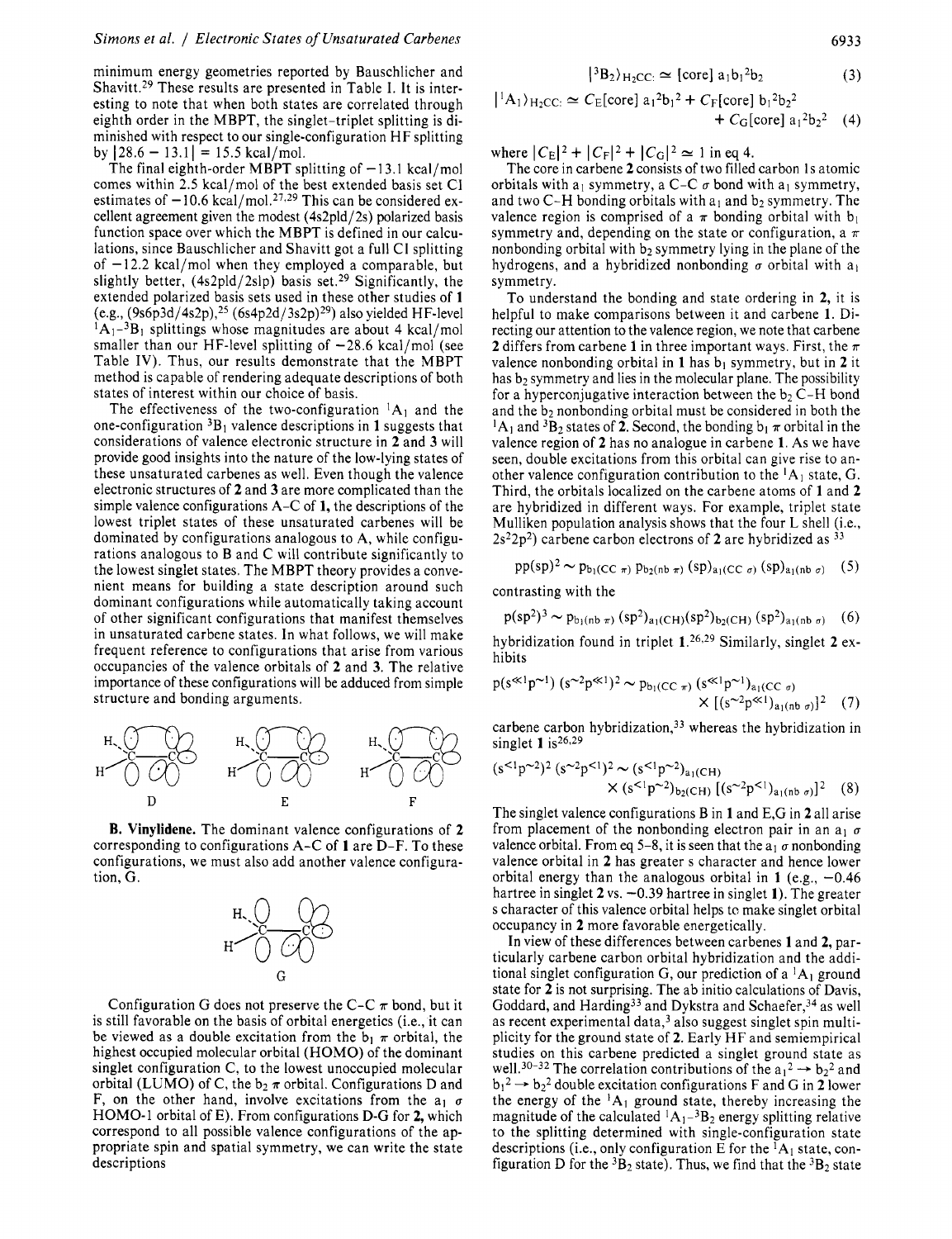minimum energy geometries reported by Bauschlicher and Shavitt.<sup>29</sup> These results are presented in Table I. It is interesting to note that when both states are correlated through eighth order in the MBPT, the singlet-triplet splitting is diminished with respect to our single-configuration HF splitting by  $|28.6 - 13.1| = 15.5$  kcal/mol.

The final eighth-order MBPT splitting of  $-13.1$  kcal/mol comes within *2.5* kcal/mol of the best extended basis set CI estimates of  $-10.6$  kcal/mol.<sup>27,29</sup> This can be considered excellent agreement given the modest (4s2pld/2s) polarized basis function space over which the MBPT is defined in our calculations, since Bauschlicher and Shavitt got a full CI splitting of  $-12.2$  kcal/mol when they employed a comparable, but slightly better, (4s2pld/2slp) basis set.<sup>29</sup> Significantly, the extended polarized basis sets used in these other studies of **1**  (e.g.,  $(9s6p3d/4s2p)$ ,<sup>25</sup> (6s4p2d/3s2p)<sup>29</sup>) also yielded HF-level **IAI-~BI** splittings whose magnitudes are about 4 kcal/mol smaller than our HF-level splitting of  $-28.6$  kcal/mol (see Table **IV).** Thus, our results demonstrate that the MBPT method is capable of rendering adequate descriptions of both states of interest within our choice of basis.

The effectiveness of the two-configuration  ${}^{1}A_1$  and the one-configuration  ${}^{3}B_{1}$  valence descriptions in 1 suggests that considerations of valence electronic structure in **2** and **3** will provide good insights into the nature of the low-lying states of these unsaturated carbenes as well. Even though the valence electronic structures of **2** and **3** are more complicated than the simple valence configurations A-C of **1,** the descriptions of the lowest triplet states of these unsaturated carbenes will be dominated by configurations analogous to **A,** while configurations analogous to B and C will contribute significantly to the lowest singlet states. The MBPT theory provides a convenient means for building a state description around such dominant configurations while automatically taking account of other significant configurations that manifest themselves in unsaturated carbene states. In what follows, we will make frequent reference to configurations that arise from various occupancies of the valence orbitals of **2** and **3.** The relative importance of these configurations will be adduced from simple structure and bonding arguments.



**B. Vinylidene.** The dominant valence configurations of **2**  corresponding to configurations A-C of **1** are D-F. To these configurations, we must also add another valence configuration, G.



Configuration G does not preserve the C-C  $\pi$  bond, but it is still favorable on the basis of orbital energetics (i.e., it can be viewed as a double excitation from the  $b_1 \pi$  orbital, the highest occupied molecular orbital (HOMO) of the dominant singlet configuration C, to the lowest unoccupied molecular orbital (LUMO) of C, the  $b_2 \pi$  orbital. Configurations D and F, on the other hand, involve excitations from the  $a_1$   $\sigma$ HOMO-1 orbital of E). From configurations D-G for **2,** which correspond to all possible valence configurations of the appropriate spin and spatial symmetry, we can write the state descriptions

$$
|{}^{3}B_{2}\rangle_{\text{H}_{2}\text{CC}:}\simeq[\text{core}] a_{1}b_{1}{}^{2}b_{2}
$$
 (3)

$$
|^1A_1\rangle_{H_2CC}
$$
  $\simeq$   $C_E[core] a_1^2b_1^2 + C_F[core] b_1^2b_2^2$   
+  $C_G[core] a_1^2b_2^2$  (4)

where  $|C_E|^2 + |C_F|^2 + |C_G|^2 \approx 1$  in eq 4.

The core in carbene 2 consists of two filled carbon 1s atomic orbitals with a<sub>l</sub> symmetry, a C-C  $\sigma$  bond with a<sub>l</sub> symmetry, and two C-H bonding orbitals with  $a_1$  and  $b_2$  symmetry. The valence region is comprised of a  $\pi$  bonding orbital with  $b_1$ symmetry and, depending on the state or configuration, a  $\pi$ nonbonding orbital with  $b_2$  symmetry lying in the plane of the hydrogens, and a hybridized nonbonding  $\sigma$  orbital with a<sub>1</sub> symmetry.

To understand the bonding and state ordering in **2,** it is helpful to make comparisons between it and carbene **1.** Directing our attention to the valence region, we note that carbene **2** differs from carbene **1** in three important ways. First, the  $\pi$ valence nonbonding orbital in  $1$  has  $b_1$  symmetry, but in  $2$  it has  $b_2$  symmetry and lies in the molecular plane. The possibility for a hyperconjugative interaction between the  $b_2$  C-H bond and the  $b_2$  nonbonding orbital must be considered in both the <sup>1</sup>A<sub>1</sub> and <sup>3</sup>B<sub>2</sub> states of **2**. Second, the bonding  $b_1 \pi$  orbital in the valence region of **2** has no analogue in carbene **1.** As we have seen, double excitations from this orbital can give rise to another valence configuration contribution to the  ${}^{1}A_1$  state, G. Third, the orbitals localized on the carbene atoms of **1** and **2**  are hybridized in different ways. For example, triplet state Mulliken population analysis shows that the four  $L$  shell (i.e., 2s22p2) carbene carbon electrons of **2** are hybridized as 33

$$
pp(sp)^2 \sim p_{b_1(CC_{\pi})} p_{b_2(nb_{\pi})} (sp)_{a_1(CC_{\sigma})} (sp)_{a_1(nb_{\sigma})} (5)
$$

contrasting with the

 $p(sp^2)^3 \sim p_{b_1(nb \pi)} (sp^2)_{a_1(CH)} (sp^2)_{b_2(CH)} (sp^2)_{a_1(nb \sigma)}$  (6)

hybridization found in triplet **l.26929** Similarly, singlet **2** exhibits

$$
p(s«1p~1) (s~2p«1)2 ~ pb1(CC π) (s«1p~1)a1(CC σ)× [(s~2p«1)a1(nb σ)]2 (7)
$$

carbene carbon hybridization, $33$  whereas the hybridization in singlet **1** is26,29

singlet **1** is<sup>20,25</sup>  
\n
$$
(s^{1}p^{-2})^2 (s^{-2}p^{-1})^2 \sim (s^{1}p^{-2})_{a_1(CH)}
$$
  
\n $\times (s^{1}p^{-2})_{b_2(CH)} [(s^{-2}p^{-1})_{a_1(nb\sigma)}]^2$  (8)

The singlet valence configurations B in **1** and E,G in **2** all arise from placement of the nonbonding electron pair in an  $a_1 \sigma$ valence orbital. From eq 5-8, it is seen that the  $a_1 \sigma$  nonbonding valence orbital in **2** has greater s character and hence lower orbital energy than the analogous orbital in  $1$  (e.g.,  $-0.46$ ) hartree in singlet **2** vs. -0.39 hartree in singlet **1).** The greater s character of this valence orbital helps to make singlet orbital occupancy in **2** more favorable energetically.

In view of these differences between carbenes **1** and **2,** particularly carbene carbon orbital hybridization and the additional singlet configuration G, our prediction of a  ${}^{1}A_1$  ground state for **2** is not surprising. The ab initio calculations of Davis, Goddard, and Harding<sup>33</sup> and Dykstra and Schaefer,<sup>34</sup> as well as recent experimental data,<sup>3</sup> also suggest singlet spin multiplicity for the ground state of **2.** Early HF and semiempirical studies on this carbene predicted a singlet ground state as well.<sup>30-32</sup> The correlation contributions of the  $a_1^2 \rightarrow b_2^2$  and  $b_1^2 \rightarrow b_2^2$  double excitation configurations F and G in 2 lower the energy of the  ${}^{1}A_{1}$  ground state, thereby increasing the magnitude of the calculated  ${}^{1}A_{1}$ <sup>-3</sup>B<sub>2</sub> energy splitting relative to the splitting determined with single-configuration state descriptions (i.e., only configuration  $E$  for the  ${}^{1}A_{1}$  state, configuration D for the  ${}^{3}B_{2}$  state). Thus, we find that the  ${}^{3}B_{2}$  state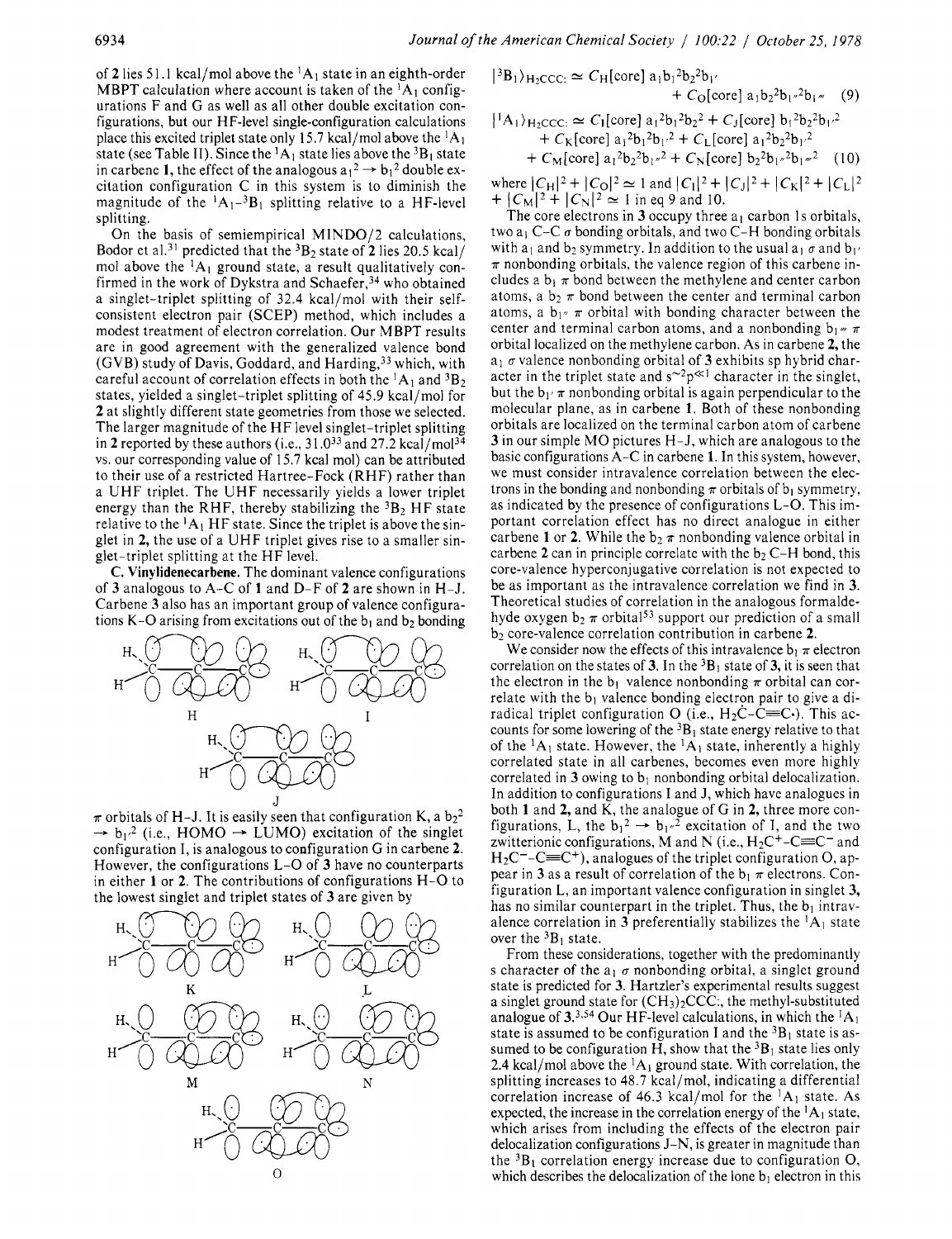of 2 lies 51.1 kcal/mol above the  ${}^{1}A_1$  state in an eighth-order MBPT calculation where account is taken of the  ${}^{1}A_{1}$  configurations F and G as well as all other double excitation configurations, but our HF-level single-configuration calculations place this excited triplet state only 15.7 kcal/mol above the  ${}^{1}A_1$ state (see Table II). Since the  ${}^{1}A_1$  state lies above the  ${}^{3}B_1$  state in carbene 1, the effect of the analogous  $a_1^2 \rightarrow b_1^2$  double excitation configuration C in this system is to diminish the magnitude of the  ${}^{1}A_{1}{}^{-3}B_{1}$  splitting relative to a HF-level splitting.

On the basis of semiempirical MIND0/2 calculations, Bodor et al.31 predicted that the 3B2 state of **2** lies 20.5 kcal/ mol above the  ${}^{1}A_{1}$  ground state, a result qualitatively confirmed in the work of Dykstra and Schaefer, $34$  who obtained a singlet-triplet splitting of 32.4 kcal/mol with their selfconsistent electron pair (SCEP) method, which includes a modest treatment of electron correlation. Our MBPT results are in good agreement with the generalized valence bond  $(GVB)$  study of Davis, Goddard, and Harding,  $33$  which, with careful account of correlation effects in both the  ${}^{1}A_{1}$  and  ${}^{3}B_{2}$ states, yielded a singlet-triplet splitting of 45.9 kcal/mol for **2** at slightly different state geometries from those we selected. The larger magnitude of the HF level singlet-triplet splitting in 2 reported by these authors (i.e.,  $31.0^{33}$  and  $27.2$  kcal/mol<sup>34</sup> vs. our corresponding value of 15.7 kcal mol) can be attributed to their use of a restricted Hartree-Fock (RHF) rather than a UHF triplet. The UHF necessarily yields a lower triplet energy than the RHF, thereby stabilizing the  ${}^{3}B$ <sub>2</sub> HF state relative to the  ${}^{1}A_1$  HF state. Since the triplet is above the singlet in **2,** the use of a UHF triplet gives rise to a smaller singlet-triplet splitting at the HF level.

**C. Vinylidenecarbene.** The dominant valence configurations of **3** analogous to A-C of **1** and D-F of **2** are shown in H-J. Carbene **3** also has an important group of valence configurations K-O arising from excitations out of the  $b_1$  and  $b_2$  bonding



 $\pi$  orbitals of H-J. It is easily seen that configuration K, a  $b_2^2$ <br>  $\rightarrow b_1^2$  (i.e., HOMO  $\rightarrow$  LUMO) excitation of the singlet configuration I, is analogous to configuration G in carbene **2.**  However, the configurations L-0 of **3** have no counterparts in either **1** or **2.** The contributions of configurations H-0 to the lowest singlet and triplet states of **3** are given by



$$
|^{3}B_{1}\rangle_{H_{2}CCC:} \simeq C_{H}[core] a_{1}b_{1}^{2}b_{2}^{2}b_{1'}
$$
  
+  $C_{O}[core] a_{1}b_{2}^{2}b_{1''}^{2}b_{1'''}$  (9)

$$
+ |A_1\rangle_{H_2CCC:} \simeq C_1[core] a_1^2b_1^2b_2^2 + C_3[core] b_1^2b_2^2b_1^2 + C_K[core] a_1^2b_1^2b_1^2 + C_L[core] a_1^2b_2^2b_1^2 + C_M[core] a_1^2b_2^2b_1^2 + C_N[core] b_2^2b_1^2b_1^2
$$
 (10)

where  $|C_H|^2 + |C_O|^2 \approx 1$  and  $|C_I|^2 + |C_J|^2 + |C_K|^2 + |C_L|^2$ <br>+  $|C_M|^2 + |C_N|^2 \approx 1$  in eq 9 and 10.

The core electrons in  $3$  occupy three  $a_1$  carbon 1s orbitals, two  $a_1$  C-C  $\sigma$  bonding orbitals, and two C-H bonding orbitals with  $a_1$  and  $b_2$  symmetry. In addition to the usual  $a_1 \sigma$  and  $b_1 \sigma$  $\pi$  nonbonding orbitals, the valence region of this carbene includes a  $b_1 \pi$  bond between the methylene and center carbon atoms, a  $b_2 \pi$  bond between the center and terminal carbon atoms, a  $b_1$ <sup>*n*</sup>  $\pi$  orbital with bonding character between the center and terminal carbon atoms, and a nonbonding  $b_1 \text{w} \pi$ orbital localized on the methylene carbon. As in carbene **2,** the a1 **cr** valence nonbonding orbital of **3** exhibits sp hybrid character in the triplet state and  $s^2p^{\ll 1}$  character in the singlet, but the  $b_1/\pi$  nonbonding orbital is again perpendicular to the molecular plane, as in carbene **1.** Both of these nonbonding orbitals are localized on the terminal carbon atom of carbene **3** in our simple MO pictures H-J, which are analogous to the basic configurations A-C in carbene **1.** In this system, however, we must consider intravalence correlation between the electrons in the bonding and nonbonding  $\pi$  orbitals of b<sub>l</sub> symmetry, as indicated by the presence of configurations L-0. This important correlation effect has no direct analogue in either carbene 1 or 2. While the  $b_2 \pi$  nonbonding valence orbital in carbene 2 can in principle correlate with the  $b_2$  C-H bond, this core-valence hyperconjugative correlation is not expected to be as important as the intravalence correlation we find in **3.**  Theoretical studies of correlation in the analogous formaldehyde oxygen  $b_2 \pi$  orbital<sup>53</sup> support our prediction of a small b2 core-valence correlation contribution in carbene **2.** 

We consider now the effects of this intravalence  $b_1 \pi$  electron correlation on the states of **3**. In the  ${}^{3}B_1$  state of **3**, it is seen that the electron in the  $b_1$  valence nonbonding  $\pi$  orbital can correlate with the  $b_1$  valence bonding electron pair to give a diradical triplet configuration O (i.e.,  $H_2C-C\equiv C$ .). This accounts for some lowering of the  ${}^{3}B_1$  state energy relative to that of the  ${}^{1}A_1$  state. However, the  ${}^{1}A_1$  state, inherently a highly correlated state in all carbenes, becomes even more highly correlated in  $3$  owing to  $b_1$  nonbonding orbital delocalization. In addition to configurations I and J, which have analogues in both **1** and **2,** and K, the analogue of G in **2,** three more con-In addition to configurations I and J, which have analogues in<br>both 1 and 2, and K, the analogue of G in 2, three more con-<br>figurations, L, the  $b_1^2 \rightarrow b_1^2$  excitation of I, and the two<br>zwitterionic configurations, M an  $H_2C^-$ -C $\equiv C^+$ ), analogues of the triplet configuration O, appear in **3** as a result of correlation of the  $b_1 \pi$  electrons. Configuration L, an important valence configuration in singlet **3,**  has no similar counterpart in the triplet. Thus, the  $b_1$  intravalence correlation in **3** preferentially stabilizes the  ${}^{1}A_1$  state over the  ${}^{3}B_1$  state.

From these considerations, together with the predominantly s character of the  $a_1 \sigma$  nonbonding orbital, a singlet ground state is predicted for **3.** Hartzler's experimental results suggest a singlet ground state for  $(CH<sub>3</sub>)<sub>2</sub>CCC$ ; the methyl-substituted analogue of  $3^{3,54}$  Our HF-level calculations, in which the  ${}^{1}A_1$ state is assumed to be configuration I and the  ${}^{3}B_{1}$  state is assumed to be configuration H, show that the  ${}^{3}B_1$  state lies only 2.4 kcal/mol above the  ${}^{1}A_{1}$  ground state. With correlation, the splitting increases to 48.7 kcal/mol, indicating a differential correlation increase of 46.3 kcal/mol for the  ${}^{1}A_{1}$  state. As expected, the increase in the correlation energy of the  ${}^{1}A_1$  state, which arises from including the effects of the electron pair delocalization configurations J-N, is greater in magnitude than the  ${}^{3}B_{1}$  correlation energy increase due to configuration O, which describes the delocalization of the lone  $b_1$  electron in this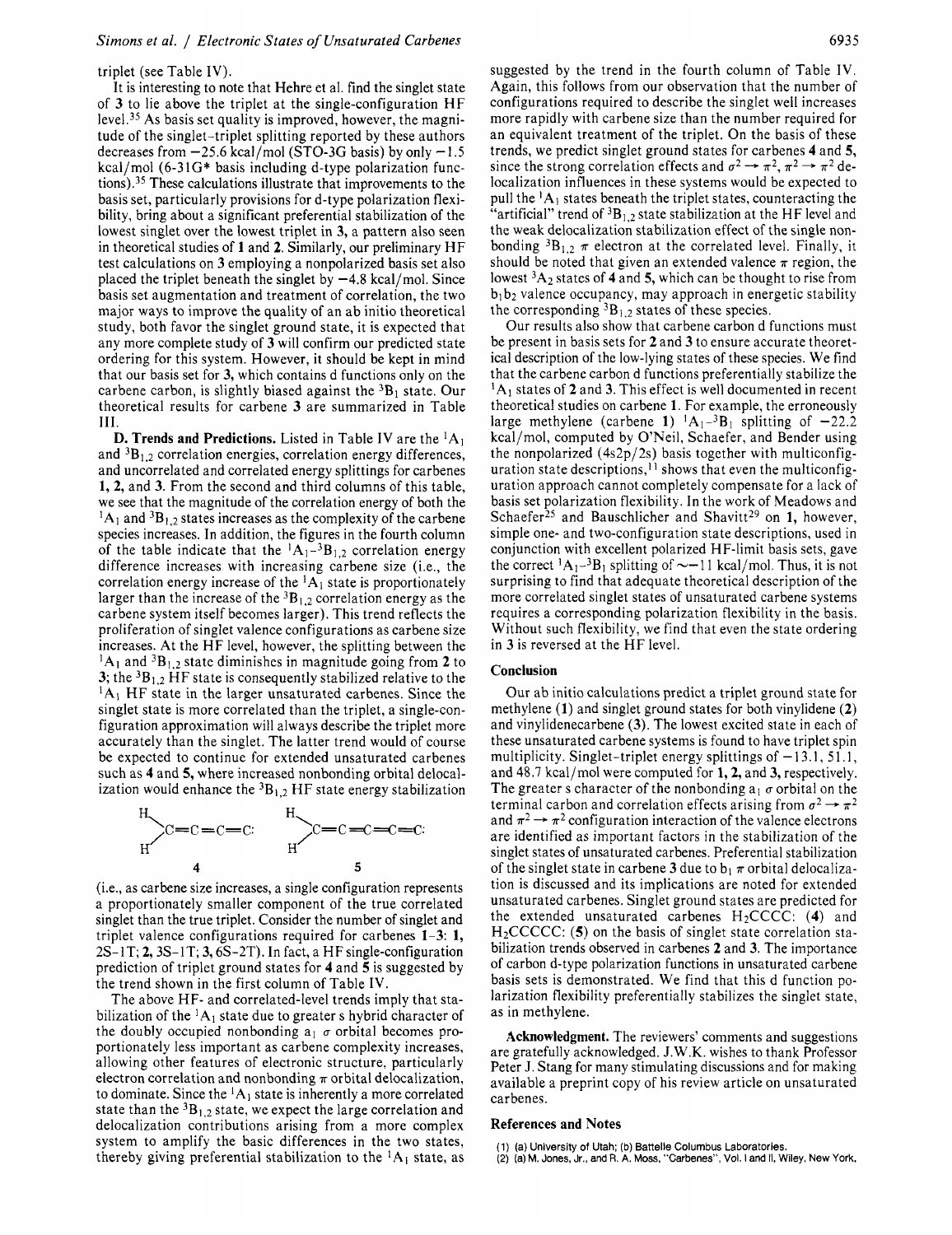#### triplet (see Table IV).

It is interesting to note that Hehre et al. find the singlet state of **3** to lie above the triplet at the single-configuration HF level.<sup>35</sup> As basis set quality is improved, however, the magnitude of the singlet-triplet splitting reported by these authors decreases from  $-25.6$  kcal/mol (STO-3G basis) by only  $-1.5$ kcal/mol (6-31G\* basis including d-type polarization functions).<sup>35</sup> These calculations illustrate that improvements to the basis set, particularly provisions for d-type polarization flexibility, bring about a significant preferential stabilization of the lowest singlet over the lowest triplet in **3,** a pattern also seen in theoretical studies of **1** and 2. Similarly, our preliminary HF test calculations on **3** employing a nonpolarized basis set also placed the triplet beneath the singlet by  $-4.8$  kcal/mol. Since basis set augmentation and treatment of correlation, the two major ways to improve the quality of an ab initio theoretical study, both favor the singlet ground state, it is expected that any more complete study of **3** will confirm our predicted state ordering for this system. However, it should be kept in mind that our basis set for **3,** which contains d functions only on the carbene carbon, is slightly biased against the <sup>3</sup>B<sub>1</sub> state. Our theoretical results for carbene **3** are summarized in Table **111.** 

**D. Trends and Predictions.** Listed in Table IV are the  ${}^{1}A_1$ and  ${}^{3}B_{1,2}$  correlation energies, correlation energy differences, and uncorrelated and correlated energy splittings for carbenes **1, 2,** and **3.** From the second and third columns of this table, we see that the magnitude of the correlation energy of both the  ${}^{1}A_{1}$  and  ${}^{3}B_{1,2}$  states increases as the complexity of the carbene species increases. In addition, the figures in the fourth column of the table indicate that the  ${}^{1}A_{1}{}^{-3}B_{1,2}$  correlation energy difference increases with increasing carbene size (i.e., the correlation energy increase of the  ${}^{1}A_{1}$  state is proportionately larger than the increase of the  ${}^{3}B_{1,2}$  correlation energy as the carbene system itself becomes larger). This trend reflects the proliferation of singlet valence configurations as carbene size increases. At the HF level, however, the splitting between the  ${}^{1}A_{1}$  and  ${}^{3}B_{1,2}$  state diminishes in magnitude going from 2 to **3;** the 3B1,2 HF state is consequently stabilized relative to the  ${}^{1}A_1$  HF state in the larger unsaturated carbenes. Since the singlet state is more correlated than the triplet, a single-configuration approximation will always describe the triplet more accurately than the singlet. The latter trend would of course be expected to continue for extended unsaturated carbenes such as **4** and *5,* where increased nonbonding orbital delocalization would enhance the  ${}^{3}B_{1,2}$  HF state energy stabilization



(i.e., as carbene size increases, a single configuration represents a proportionately smaller component of the true correlated singlet than the true triplet. Consider the number of singlet and triplet valence configurations required for carbenes **1-3: 1,**   $2S-1T$ ; 2,  $3S-1T$ ; 3,  $6S-2T$ ). In fact, a HF single-configuration prediction of triplet ground states for **4** and *5* is suggested by the trend shown in the first column of Table IV.

The above HF- and correlated-level trends imply that stabilization of the  ${}^{1}A_1$  state due to greater s hybrid character of the doubly occupied nonbonding  $a_1 \sigma$  orbital becomes proportionately less important as carbene complexity increases, allowing other features of electronic structure, particularly electron correlation and nonbonding  $\pi$  orbital delocalization, to dominate. Since the  ${}^{1}A_1$  state is inherently a more correlated state than the  ${}^{3}B_{1,2}$  state, we expect the large correlation and delocalization contributions arising from a more complex system to amplify the basic differences in the two states, thereby giving preferential stabilization to the  ${}^{1}A_{1}$  state, as suggested by the trend in the fourth column of Table IV. Again, this follows from our observation that the number of configurations required to describe the singlet well increases more rapidly with carbene size than the number required for an equivalent treatment of the triplet. On the basis of these trends, we predict singlet ground states for carbenes **4** and *5,*  since the strong correlation effects and  $\sigma^2 \rightarrow \pi^2$ ,  $\pi^2 \rightarrow \pi^2$  delocalization influences in these systems would be expected to pull the  ${}^{1}A_1$  states beneath the triplet states, counteracting the "artificial" trend of  ${}^{3}B_{1,2}$  state stabilization at the HF level and the weak delocalization stabilization effect of the single nonbonding  ${}^{3}B_{1,2}$   $\pi$  electron at the correlated level. Finally, it should be noted that given an extended valence  $\pi$  region, the lowest 3A2 states of **4** and *5,* which can be thought to rise from  $b_1b_2$  valence occupancy, may approach in energetic stability the corresponding  ${}^{3}B_{1,2}$  states of these species.

Our results also show that carbene carbon d functions must be present in basis sets for **2** and **3** to ensure accurate theoretical description of the low-lying states of these species. We find that the carbene carbon d functions preferentially stabilize the <sup>1</sup>A<sub>1</sub> states of **2** and **3**. This effect is well documented in recent theoretical studies on carbene **1.** For example, the erroneously large methylene (carbene 1)  ${}^{1}A_{1}{}^{-3}B_{1}$  splitting of  $-22.2$ kcal/mol, computed by O'Neil, Schaefer, and Bender using the nonpolarized  $(4s2p/2s)$  basis together with multiconfiguration state descriptions,<sup> $1$ </sup> shows that even the multiconfiguration approach cannot completely compensate for a lack of basis set polarization flexibility. **In** the work of Meadows and Schaefer<sup>25</sup> and Bauschlicher and Shavitt<sup>29</sup> on **1,** however, simple one- and two-configuration state descriptions, used in conjunction with excellent polarized HF-limit basis sets, gave the correct  ${}^{1}A_{1}$ - ${}^{3}B_{1}$  splitting of  $\sim$ -11 kcal/mol. Thus, it is not surprising to find that adequate theoretical description of the more correlated singlet states of unsaturated carbene systems requires a corresponding polarization flexibility in the basis. Without such flexibility, we find that even the state ordering in **3** is reversed at the HF level.

#### **Conclusion**

Our ab initio calculations predict a triplet ground state for methylene **(1)** and singlet ground states for both vinylidene **(2)**  and vinylidenecarbene **(3).** The lowest excited state in each of these unsaturated carbene systems is found to have triplet spin multiplicity. Singlet-triplet energy splittings of  $-13.1$ , 51.1, and 48.7 kcal/mol were computed for **1,2,** and **3,** respectively. The greater s character of the nonbonding  $a_1 \sigma$  orbital on the and 48.7 kcal/mol were computed for 1, 2, and 3, respectively.<br>The greater s character of the nonbonding  $a_1 \sigma$  orbital on the<br>terminal carbon and correlation effects arising from  $\sigma^2 \rightarrow \pi^2$ <br>and  $\sigma^2$  and 2 and intern terminal carbon and correlation effects arising from  $\sigma^2 \rightarrow \pi^2$ <br>and  $\pi^2 \rightarrow \pi^2$  configuration interaction of the valence electrons are identified as important factors in the stabilization of the singlet states of unsaturated carbenes. Preferential stabilization of the singlet state in carbene 3 due to  $b_1 \pi$  orbital delocalization is discussed and its implications are noted for extended unsaturated carbenes. Singlet ground states are predicted for the extended unsaturated carbenes H2CCCC: **(4)** and H<sub>2</sub>CCCCC: (5) on the basis of singlet state correlation stabilization trends observed in carbenes 2 and **3.** The importance of carbon d-type polarization functions in unsaturated carbene basis sets is demonstrated. We find that this d function polarization flexibility preferentially stabilizes the singlet state, as in methylene.

**Acknowledgment.** The reviewers' comments and suggestions are gratefully acknowledged. J.W.K. wishes to thank Professor Peter J. Stang for many stimulating discussions and for making available a preprint copy of his review article on unsaturated carbenes.

#### **References and Notes**

- (1) **(a)** University of Utah; (b) Battelle Columbus Laboratories.
- **(2)** (a) **M. Jones,** Jr., and R. **A. Moss,** "Carbenes", Vol. I **and** II. Wiley, New York.